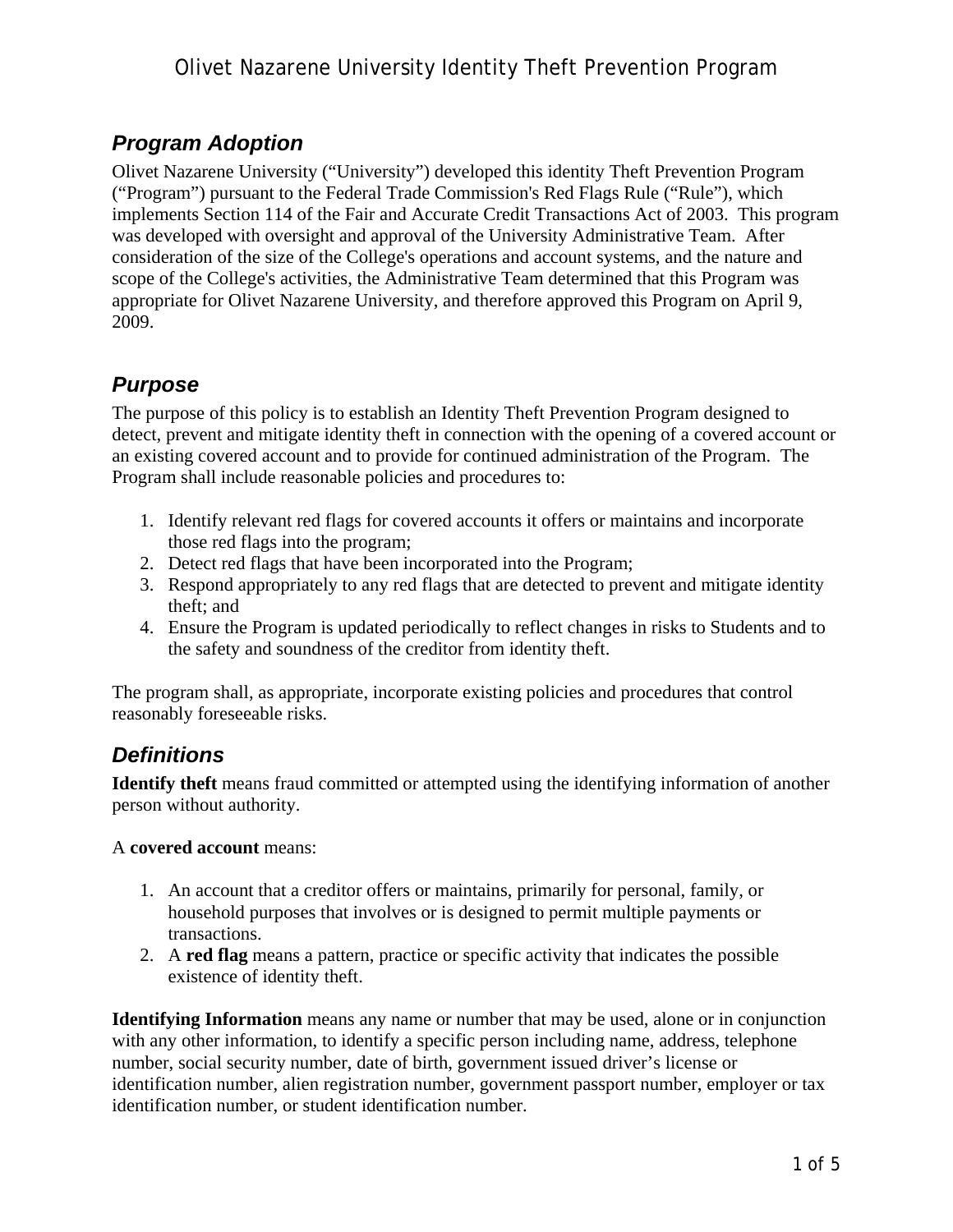## *Program Adoption*

Olivet Nazarene University ("University") developed this identity Theft Prevention Program ("Program") pursuant to the Federal Trade Commission's Red Flags Rule ("Rule"), which implements Section 114 of the Fair and Accurate Credit Transactions Act of 2003. This program was developed with oversight and approval of the University Administrative Team. After consideration of the size of the College's operations and account systems, and the nature and scope of the College's activities, the Administrative Team determined that this Program was appropriate for Olivet Nazarene University, and therefore approved this Program on April 9, 2009.

### *Purpose*

The purpose of this policy is to establish an Identity Theft Prevention Program designed to detect, prevent and mitigate identity theft in connection with the opening of a covered account or an existing covered account and to provide for continued administration of the Program. The Program shall include reasonable policies and procedures to:

- 1. Identify relevant red flags for covered accounts it offers or maintains and incorporate those red flags into the program;
- 2. Detect red flags that have been incorporated into the Program;
- 3. Respond appropriately to any red flags that are detected to prevent and mitigate identity theft; and
- 4. Ensure the Program is updated periodically to reflect changes in risks to Students and to the safety and soundness of the creditor from identity theft.

The program shall, as appropriate, incorporate existing policies and procedures that control reasonably foreseeable risks.

### *Definitions*

**Identify theft** means fraud committed or attempted using the identifying information of another person without authority.

#### A **covered account** means:

- 1. An account that a creditor offers or maintains, primarily for personal, family, or household purposes that involves or is designed to permit multiple payments or transactions.
- 2. A **red flag** means a pattern, practice or specific activity that indicates the possible existence of identity theft.

**Identifying Information** means any name or number that may be used, alone or in conjunction with any other information, to identify a specific person including name, address, telephone number, social security number, date of birth, government issued driver's license or identification number, alien registration number, government passport number, employer or tax identification number, or student identification number.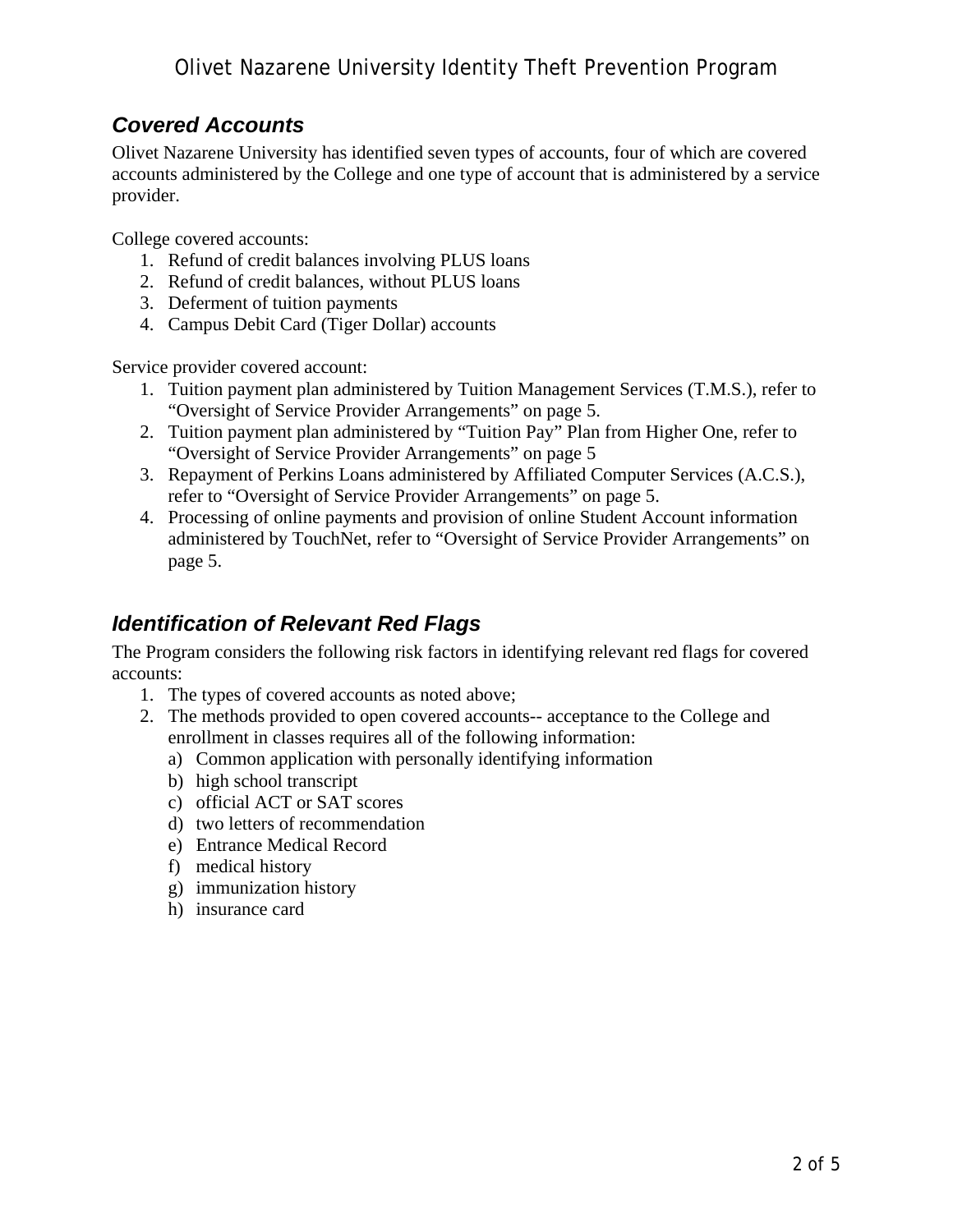### *Covered Accounts*

Olivet Nazarene University has identified seven types of accounts, four of which are covered accounts administered by the College and one type of account that is administered by a service provider.

College covered accounts:

- 1. Refund of credit balances involving PLUS loans
- 2. Refund of credit balances, without PLUS loans
- 3. Deferment of tuition payments
- 4. Campus Debit Card (Tiger Dollar) accounts

Service provider covered account:

- 1. Tuition payment plan administered by Tuition Management Services (T.M.S.), refer to "Oversight of Service Provider Arrangements" on page 5.
- 2. Tuition payment plan administered by "Tuition Pay" Plan from Higher One, refer to "Oversight of Service Provider Arrangements" on page 5
- 3. Repayment of Perkins Loans administered by Affiliated Computer Services (A.C.S.), refer to "Oversight of Service Provider Arrangements" on page 5.
- 4. Processing of online payments and provision of online Student Account information administered by TouchNet, refer to "Oversight of Service Provider Arrangements" on page 5.

### *Identification of Relevant Red Flags*

The Program considers the following risk factors in identifying relevant red flags for covered accounts:

- 1. The types of covered accounts as noted above;
- 2. The methods provided to open covered accounts-- acceptance to the College and enrollment in classes requires all of the following information:
	- a) Common application with personally identifying information
	- b) high school transcript
	- c) official ACT or SAT scores
	- d) two letters of recommendation
	- e) Entrance Medical Record
	- f) medical history
	- g) immunization history
	- h) insurance card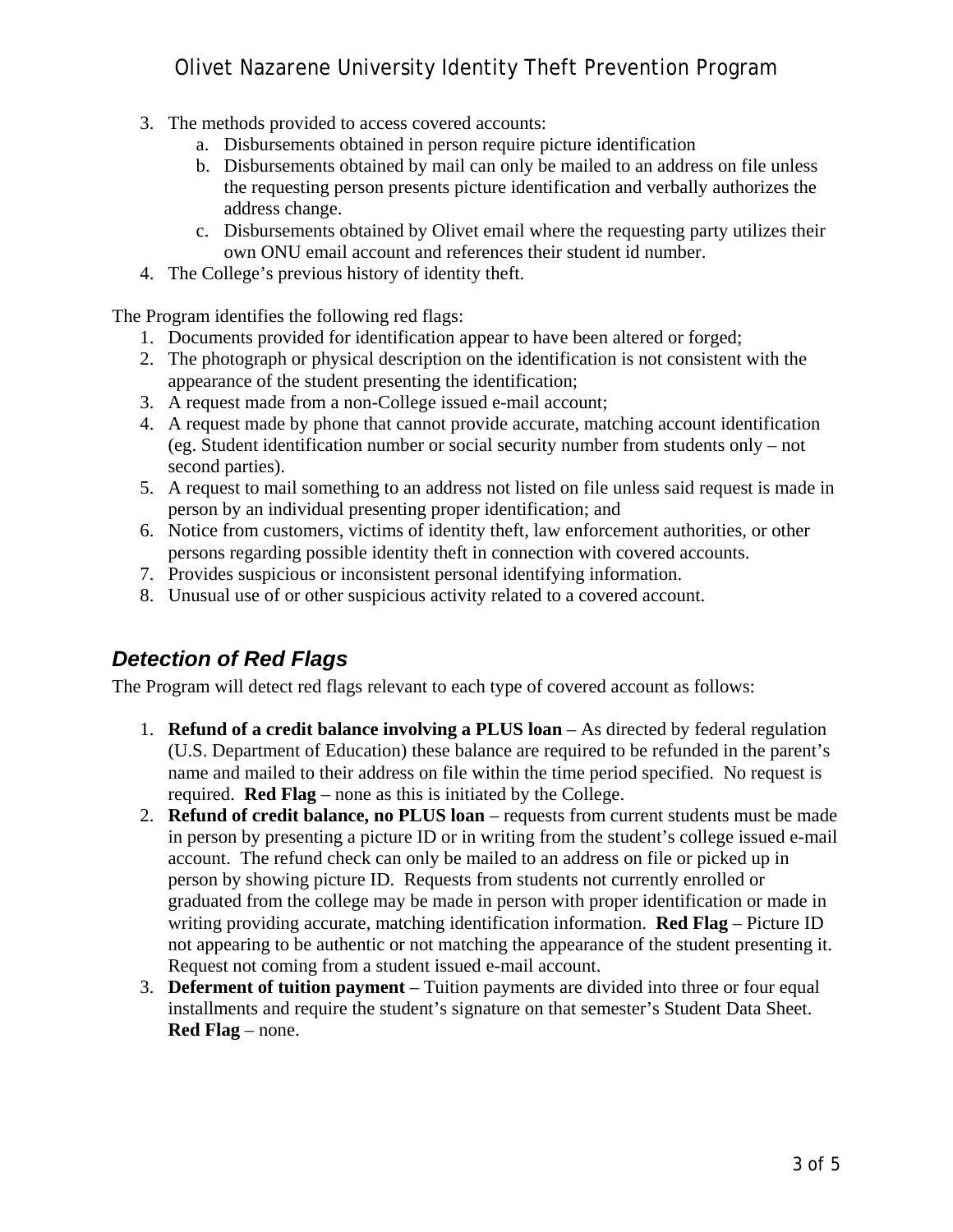### Olivet Nazarene University Identity Theft Prevention Program

- 3. The methods provided to access covered accounts:
	- a. Disbursements obtained in person require picture identification
	- b. Disbursements obtained by mail can only be mailed to an address on file unless the requesting person presents picture identification and verbally authorizes the address change.
	- c. Disbursements obtained by Olivet email where the requesting party utilizes their own ONU email account and references their student id number.
- 4. The College's previous history of identity theft.

The Program identifies the following red flags:

- 1. Documents provided for identification appear to have been altered or forged;
- 2. The photograph or physical description on the identification is not consistent with the appearance of the student presenting the identification;
- 3. A request made from a non-College issued e-mail account;
- 4. A request made by phone that cannot provide accurate, matching account identification (eg. Student identification number or social security number from students only – not second parties).
- 5. A request to mail something to an address not listed on file unless said request is made in person by an individual presenting proper identification; and
- 6. Notice from customers, victims of identity theft, law enforcement authorities, or other persons regarding possible identity theft in connection with covered accounts.
- 7. Provides suspicious or inconsistent personal identifying information.
- 8. Unusual use of or other suspicious activity related to a covered account.

### *Detection of Red Flags*

The Program will detect red flags relevant to each type of covered account as follows:

- 1. **Refund of a credit balance involving a PLUS loan** As directed by federal regulation (U.S. Department of Education) these balance are required to be refunded in the parent's name and mailed to their address on file within the time period specified. No request is required. **Red Flag** – none as this is initiated by the College.
- 2. **Refund of credit balance, no PLUS loan** requests from current students must be made in person by presenting a picture ID or in writing from the student's college issued e-mail account. The refund check can only be mailed to an address on file or picked up in person by showing picture ID. Requests from students not currently enrolled or graduated from the college may be made in person with proper identification or made in writing providing accurate, matching identification information. **Red Flag** – Picture ID not appearing to be authentic or not matching the appearance of the student presenting it. Request not coming from a student issued e-mail account.
- 3. **Deferment of tuition payment** Tuition payments are divided into three or four equal installments and require the student's signature on that semester's Student Data Sheet. **Red Flag** – none.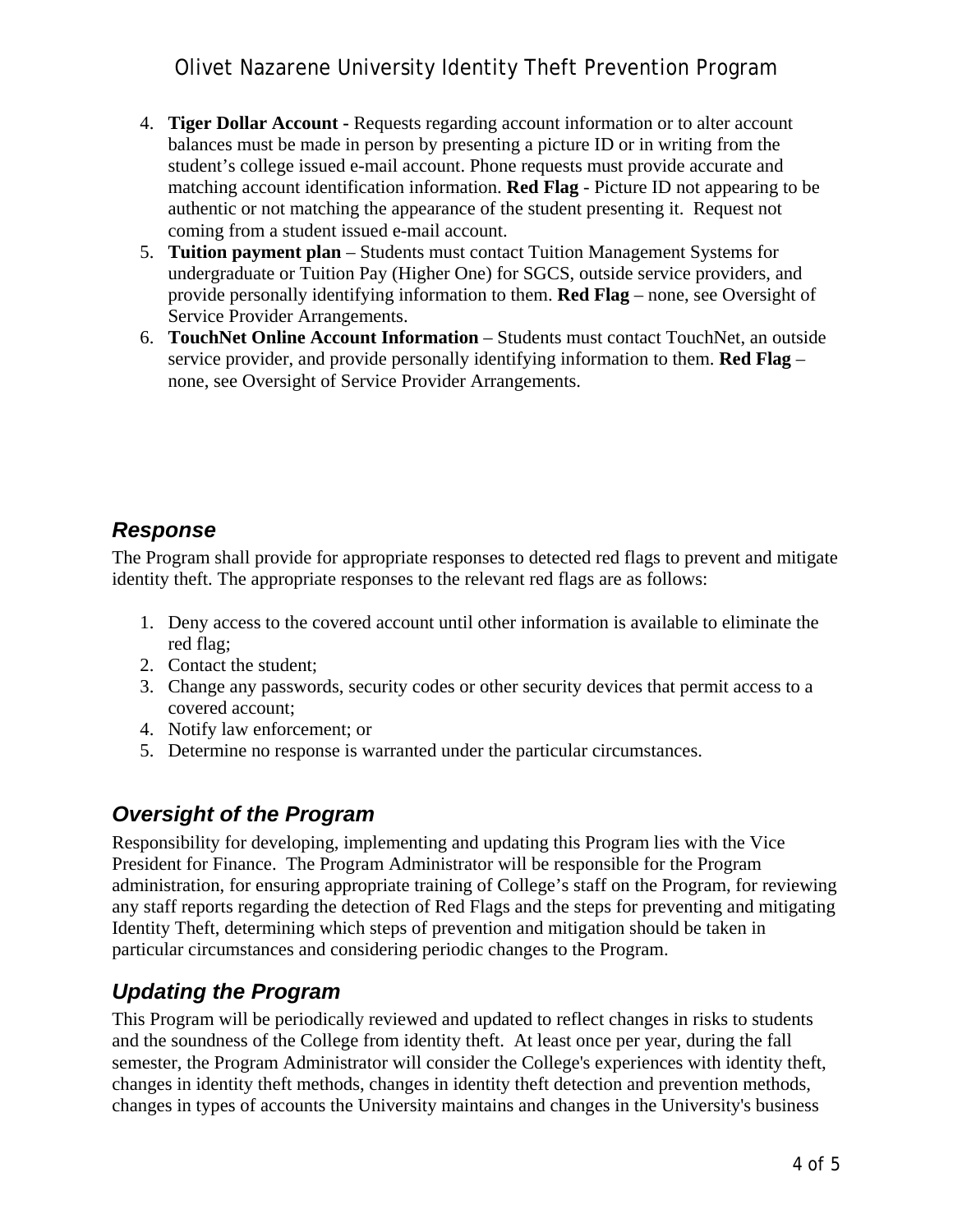- 4. **Tiger Dollar Account -** Requests regarding account information or to alter account balances must be made in person by presenting a picture ID or in writing from the student's college issued e-mail account. Phone requests must provide accurate and matching account identification information. **Red Flag** - Picture ID not appearing to be authentic or not matching the appearance of the student presenting it. Request not coming from a student issued e-mail account.
- 5. **Tuition payment plan**  Students must contact Tuition Management Systems for undergraduate or Tuition Pay (Higher One) for SGCS, outside service providers, and provide personally identifying information to them. **Red Flag** – none, see Oversight of Service Provider Arrangements.
- 6. **TouchNet Online Account Information** Students must contact TouchNet, an outside service provider, and provide personally identifying information to them. **Red Flag** – none, see Oversight of Service Provider Arrangements.

### *Response*

The Program shall provide for appropriate responses to detected red flags to prevent and mitigate identity theft. The appropriate responses to the relevant red flags are as follows:

- 1. Deny access to the covered account until other information is available to eliminate the red flag;
- 2. Contact the student;
- 3. Change any passwords, security codes or other security devices that permit access to a covered account;
- 4. Notify law enforcement; or
- 5. Determine no response is warranted under the particular circumstances.

# *Oversight of the Program*

Responsibility for developing, implementing and updating this Program lies with the Vice President for Finance. The Program Administrator will be responsible for the Program administration, for ensuring appropriate training of College's staff on the Program, for reviewing any staff reports regarding the detection of Red Flags and the steps for preventing and mitigating Identity Theft, determining which steps of prevention and mitigation should be taken in particular circumstances and considering periodic changes to the Program.

# *Updating the Program*

This Program will be periodically reviewed and updated to reflect changes in risks to students and the soundness of the College from identity theft. At least once per year, during the fall semester, the Program Administrator will consider the College's experiences with identity theft, changes in identity theft methods, changes in identity theft detection and prevention methods, changes in types of accounts the University maintains and changes in the University's business